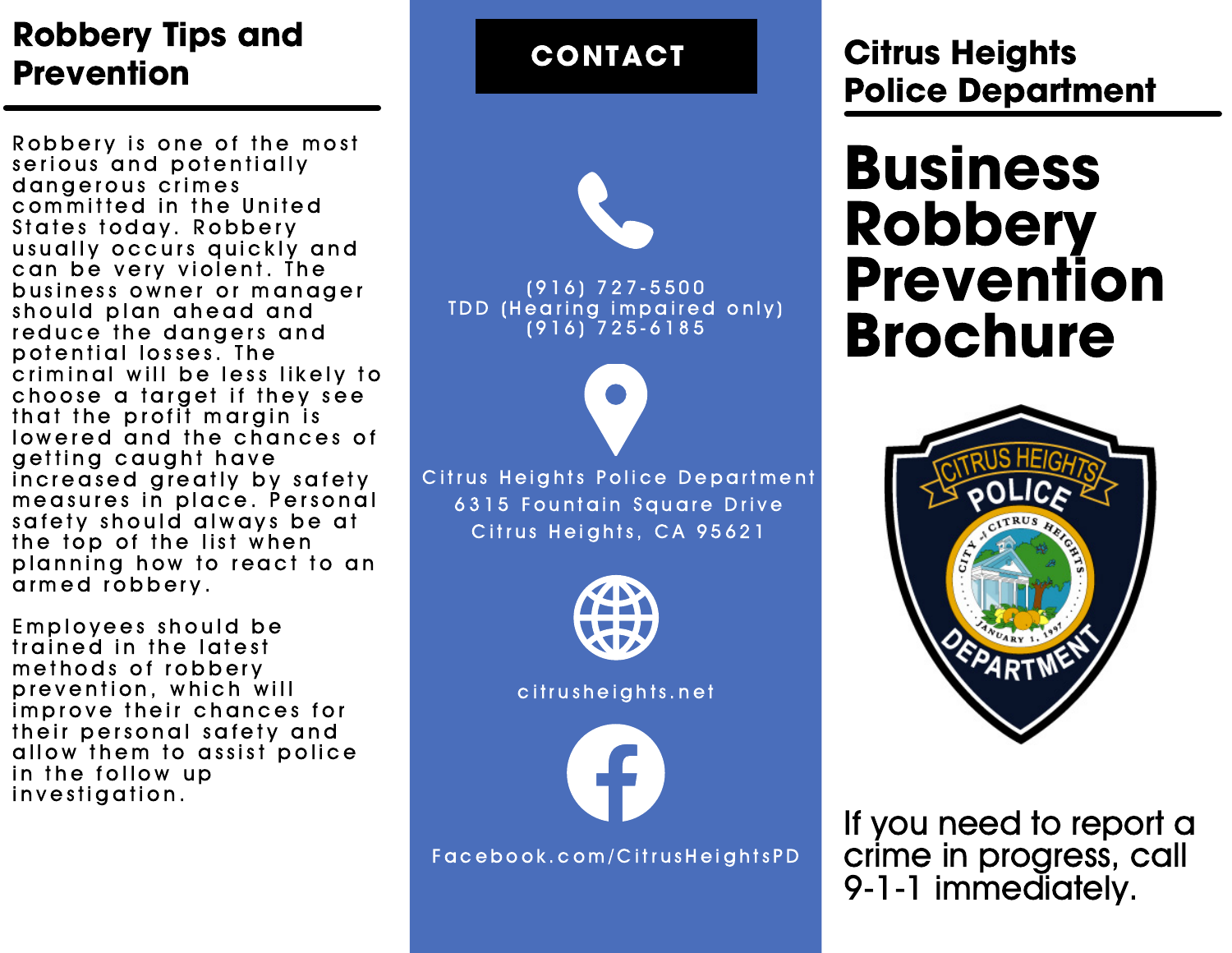## Robbery Tips and **Prevention**

Robbery is one of the most serious and potentially d an gerous crimes committed in the United States today. Robbery usually occurs quickly and can be very violent. The business owner or manager should plan ahead and reduce the dangers and potential losses. The criminal will be less likely to choose a target if they see that the profit margin is lowered and the chances of getting caught have increased greatly by safety measures in place. Personal safety should always be at the top of the list when planning how to react to an armed robbery.

Employees should be trained in the latest methods of robbery prevention, which will improve their chances for their personal safety and allow them to assist police in the follow up investigation.

# ( 9 1 6 ) 7 2 7 - 5 5 0 0 TDD (Hearing impaired only)  $(916)$   $725 - 6185$ Citrus Heights Police Department 6315 Fountain Square Drive Citrus Heights, CA 95621 CONTACT citrusheights.net F a c e b o o k . c o m / C i t r u s H e i g h t s P D

## Citrus Heights Police Department

## **Business** Robbery Prevention Brochure



If you need to report a crime in progress, call 9-1-1 immediately.